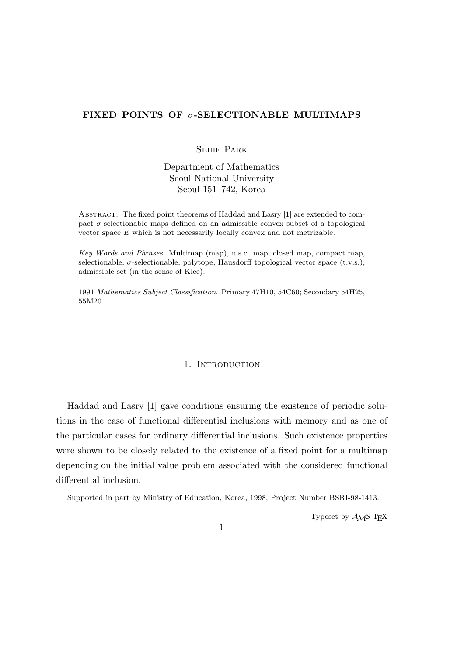# **FIXED POINTS OF** *σ***-SELECTIONABLE MULTIMAPS**

# Sehie Park

Department of Mathematics Seoul National University Seoul 151–742, Korea

Abstract. The fixed point theorems of Haddad and Lasry [1] are extended to compact  $\sigma$ -selectionable maps defined on an admissible convex subset of a topological vector space *E* which is not necessarily locally convex and not metrizable.

*Key Words and Phrases.* Multimap (map), u.s.c. map, closed map, compact map, selectionable,  $\sigma$ -selectionable, polytope, Hausdorff topological vector space (t.v.s.), admissible set (in the sense of Klee).

1991 *Mathematics Subject Classification*. Primary 47H10, 54C60; Secondary 54H25, 55M20.

### 1. INTRODUCTION

Haddad and Lasry [1] gave conditions ensuring the existence of periodic solutions in the case of functional differential inclusions with memory and as one of the particular cases for ordinary differential inclusions. Such existence properties were shown to be closely related to the existence of a fixed point for a multimap depending on the initial value problem associated with the considered functional differential inclusion.

Typeset by  $A_{\mathcal{M}}S$ -T<sub>E</sub>X

Supported in part by Ministry of Education, Korea, 1998, Project Number BSRI-98-1413.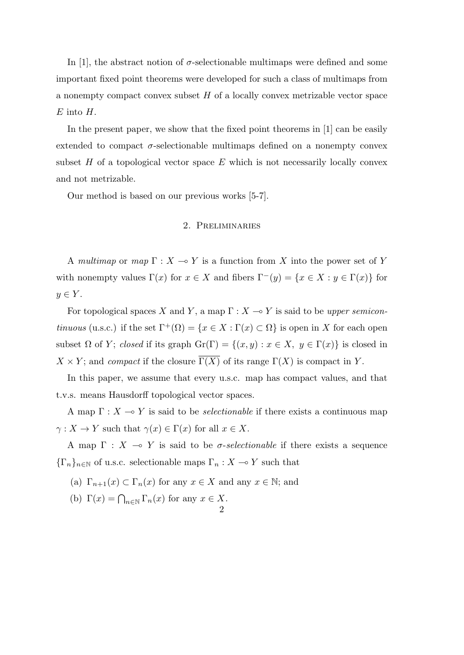In [1], the abstract notion of  $\sigma$ -selectionable multimaps were defined and some important fixed point theorems were developed for such a class of multimaps from a nonempty compact convex subset *H* of a locally convex metrizable vector space *E* into *H*.

In the present paper, we show that the fixed point theorems in [1] can be easily extended to compact  $\sigma$ -selectionable multimaps defined on a nonempty convex subset  $H$  of a topological vector space  $E$  which is not necessarily locally convex and not metrizable.

Our method is based on our previous works [5-7].

## 2. Preliminaries

A *multimap* or *map*  $\Gamma : X \to Y$  is a function from X into the power set of Y with nonempty values  $\Gamma(x)$  for  $x \in X$  and fibers  $\Gamma^-(y) = \{x \in X : y \in \Gamma(x)\}\)$  for  $y \in Y$ .

For topological spaces *X* and *Y*, a map  $\Gamma : X \to Y$  is said to be *upper semicontinuous* (u.s.c.) if the set  $\Gamma^+(\Omega) = \{x \in X : \Gamma(x) \subset \Omega\}$  is open in *X* for each open subset  $\Omega$  of *Y*; *closed* if its graph  $\text{Gr}(\Gamma) = \{(x, y) : x \in X, y \in \Gamma(x)\}\)$  is closed in  $X \times Y$ ; and *compact* if the closure  $\Gamma(X)$  of its range  $\Gamma(X)$  is compact in *Y*.

In this paper, we assume that every u.s.c. map has compact values, and that t.v.s. means Hausdorff topological vector spaces.

A map  $\Gamma: X \to Y$  is said to be *selectionable* if there exists a continuous map *γ* : *X*  $\rightarrow$  *Y* such that *γ*(*x*)  $\in$   $\Gamma$ (*x*) for all *x*  $\in$  *X*.

A map  $\Gamma$  :  $X \multimap Y$  is said to be *σ*-*selectionable* if there exists a sequence  ${\{\Gamma_n\}}_{n\in\mathbb{N}}$  of u.s.c. selectionable maps  $\Gamma_n: X \to Y$  such that

- (a)  $\Gamma_{n+1}(x) \subset \Gamma_n(x)$  for any  $x \in X$  and any  $x \in \mathbb{N}$ ; and
- (b)  $\Gamma(x) = \bigcap_{n \in \mathbb{N}} \Gamma_n(x)$  for any  $x \in X$ . 2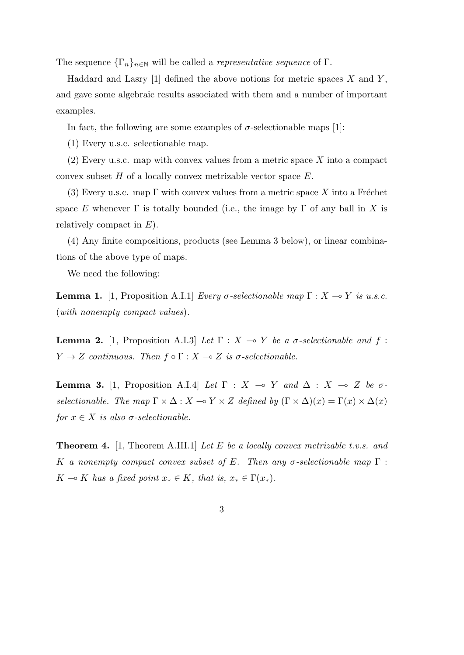The sequence  ${\{\Gamma_n\}}_{n\in\mathbb{N}}$  will be called a *representative sequence* of  $\Gamma$ .

Haddard and Lasry [1] defined the above notions for metric spaces *X* and *Y* , and gave some algebraic results associated with them and a number of important examples.

In fact, the following are some examples of  $\sigma$ -selectionable maps [1]:

(1) Every u.s.c. selectionable map.

(2) Every u.s.c. map with convex values from a metric space *X* into a compact convex subset *H* of a locally convex metrizable vector space *E*.

(3) Every u.s.c. map  $\Gamma$  with convex values from a metric space X into a Fréchet space *E* whenever  $\Gamma$  is totally bounded (i.e., the image by  $\Gamma$  of any ball in *X* is relatively compact in *E*).

(4) Any finite compositions, products (see Lemma 3 below), or linear combinations of the above type of maps.

We need the following:

**Lemma 1.** [1, Proposition A.I.1] *Every*  $\sigma$ -selectionable map  $\Gamma : X \to Y$  is u.s.c. (*with nonempty compact values*)*.*

**Lemma 2.** [1, Proposition A.I.3] *Let*  $\Gamma : X \to Y$  *be a σ-selectionable and*  $f :$ *Y*  $\rightarrow$  *Z continuous. Then*  $f \circ \Gamma : X \rightarrow Z$  *is*  $\sigma$ -selectionable.

**Lemma 3.** [1, Proposition A.I.4] *Let* Γ : *X*  $\rightarrow$  *Y and*  $\Delta$  : *X*  $\rightarrow$  *Z be σselectionable. The map*  $\Gamma \times \Delta : X \to Y \times Z$  *defined by*  $(\Gamma \times \Delta)(x) = \Gamma(x) \times \Delta(x)$ *for*  $x \in X$  *is also*  $\sigma$ -selectionable.

**Theorem 4.** [1, Theorem A.III.1] *Let E be a locally convex metrizable t.v.s. and K a nonempty compact convex subset of E. Then any σ-selectionable map* Γ :  $K \rightarrow K$  *has a fixed point*  $x_* \in K$ *, that is,*  $x_* \in \Gamma(x_*)$ *.* 

3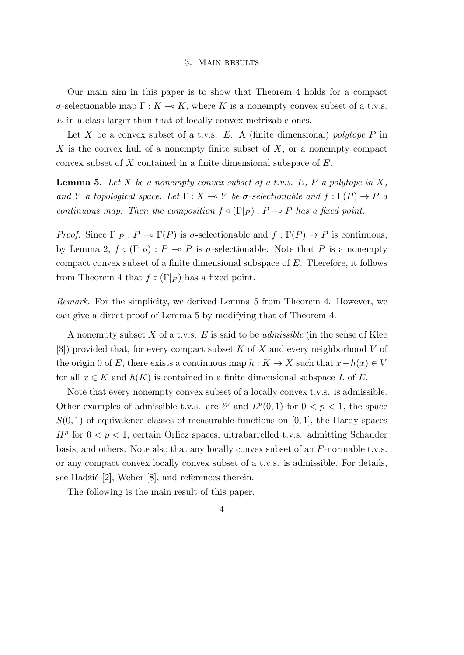#### 3. Main results

Our main aim in this paper is to show that Theorem 4 holds for a compact *σ*-selectionable map  $\Gamma : K \to K$ , where *K* is a nonempty convex subset of a t.v.s. *E* in a class larger than that of locally convex metrizable ones.

Let *X* be a convex subset of a t.v.s. *E*. A (finite dimensional) *polytope P* in *X* is the convex hull of a nonempty finite subset of *X*; or a nonempty compact convex subset of *X* contained in a finite dimensional subspace of *E*.

**Lemma 5.** *Let X be a nonempty convex subset of a t.v.s. E, P a polytope in X, and Y a topological space. Let*  $\Gamma : X \to Y$  *be*  $\sigma$ -selectionable and  $f : \Gamma(P) \to P$  *a continuous map. Then the composition*  $f \circ (\Gamma|_P) : P \to P$  *has a fixed point.* 

*Proof.* Since  $\Gamma|_P$  :  $P \to \Gamma(P)$  is  $\sigma$ -selectionable and  $f : \Gamma(P) \to P$  is continuous, by Lemma 2,  $f \circ (\Gamma|_P)$ :  $P \multimap P$  is σ-selectionable. Note that P is a nonempty compact convex subset of a finite dimensional subspace of *E*. Therefore, it follows from Theorem 4 that  $f \circ (\Gamma|_P)$  has a fixed point.

*Remark.* For the simplicity, we derived Lemma 5 from Theorem 4. However, we can give a direct proof of Lemma 5 by modifying that of Theorem 4.

A nonempty subset *X* of a t.v.s. *E* is said to be *admissible* (in the sense of Klee [3]) provided that, for every compact subset *K* of *X* and every neighborhood *V* of the origin 0 of *E*, there exists a continuous map  $h: K \to X$  such that  $x - h(x) \in V$ for all  $x \in K$  and  $h(K)$  is contained in a finite dimensional subspace *L* of *E*.

Note that every nonempty convex subset of a locally convex t.v.s. is admissible. Other examples of admissible t.v.s. are  $\ell^p$  and  $L^p(0,1)$  for  $0 < p < 1$ , the space  $S(0,1)$  of equivalence classes of measurable functions on [0, 1], the Hardy spaces  $H^p$  for  $0 < p < 1$ , certain Orlicz spaces, ultrabarrelled t.v.s. admitting Schauder basis, and others. Note also that any locally convex subset of an *F*-normable t.v.s. or any compact convex locally convex subset of a t.v.s. is admissible. For details, see Hadžić  $[2]$ , Weber  $[8]$ , and references therein.

The following is the main result of this paper.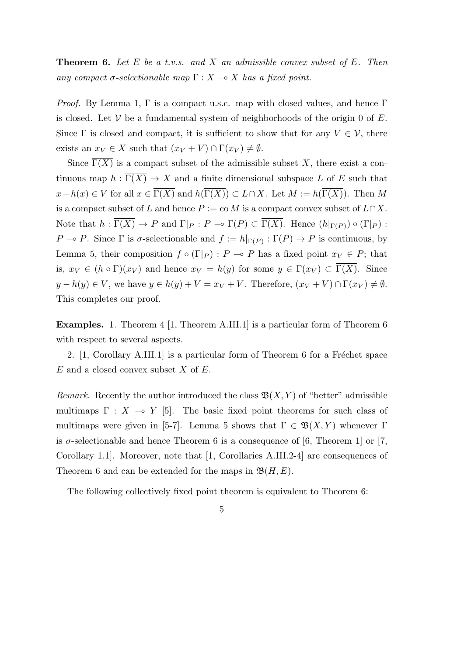**Theorem 6.** *Let E be a t.v.s. and X an admissible convex subset of E. Then any compact*  $\sigma$ -selectionable map  $\Gamma: X \to X$  has a fixed point.

*Proof.* By Lemma 1,  $\Gamma$  is a compact u.s.c. map with closed values, and hence  $\Gamma$ is closed. Let  $V$  be a fundamental system of neighborhoods of the origin 0 of  $E$ . Since  $\Gamma$  is closed and compact, it is sufficient to show that for any  $V \in V$ , there exists an  $x_V \in X$  such that  $(x_V + V) \cap \Gamma(x_V) \neq \emptyset$ .

Since  $\overline{\Gamma(X)}$  is a compact subset of the admissible subset *X*, there exist a continuous map  $h : \overline{\Gamma(X)} \to X$  and a finite dimensional subspace *L* of *E* such that  $x - h(x) \in V$  for all  $x \in \overline{\Gamma(X)}$  and  $h(\overline{\Gamma(X)}) \subset L \cap X$ . Let  $M := h(\overline{\Gamma(X)})$ . Then *M* is a compact subset of *L* and hence  $P := \text{co } M$  is a compact convex subset of  $L \cap X$ . Note that  $h: \Gamma(X) \to P$  and  $\Gamma|_P: P \to \Gamma(P) \subset \Gamma(X)$ . Hence  $(h|_{\Gamma(P)}) \circ (\Gamma|_P)$ : *P*  $\rightarrow$  *P*. Since  $\Gamma$  is *σ*-selectionable and  $f := h|_{\Gamma(P)} : \Gamma(P) \rightarrow P$  is continuous, by Lemma 5, their composition  $f \circ (\Gamma|_P) : P \to P$  has a fixed point  $x_V \in P$ ; that is,  $x_V \in (h \circ \Gamma)(x_V)$  and hence  $x_V = h(y)$  for some  $y \in \Gamma(x_V) \subset \overline{\Gamma(X)}$ . Since  $y - h(y) \in V$ , we have  $y \in h(y) + V = x_V + V$ . Therefore,  $(x_V + V) \cap \Gamma(x_V) \neq \emptyset$ . This completes our proof.

**Examples.** 1. Theorem 4 [1, Theorem A.III.1] is a particular form of Theorem 6 with respect to several aspects.

2.  $[1, Corollary A. III.1]$  is a particular form of Theorem 6 for a Fréchet space *E* and a closed convex subset *X* of *E*.

*Remark.* Recently the author introduced the class  $\mathfrak{B}(X, Y)$  of "better" admissible multimaps  $\Gamma : X \to Y$  [5]. The basic fixed point theorems for such class of multimaps were given in [5-7]. Lemma 5 shows that  $\Gamma \in \mathfrak{B}(X,Y)$  whenever  $\Gamma$ is  $\sigma$ -selectionable and hence Theorem 6 is a consequence of [6, Theorem 1] or [7, Corollary 1.1]. Moreover, note that [1, Corollaries A.III.2-4] are consequences of Theorem 6 and can be extended for the maps in  $\mathfrak{B}(H, E)$ .

The following collectively fixed point theorem is equivalent to Theorem 6: